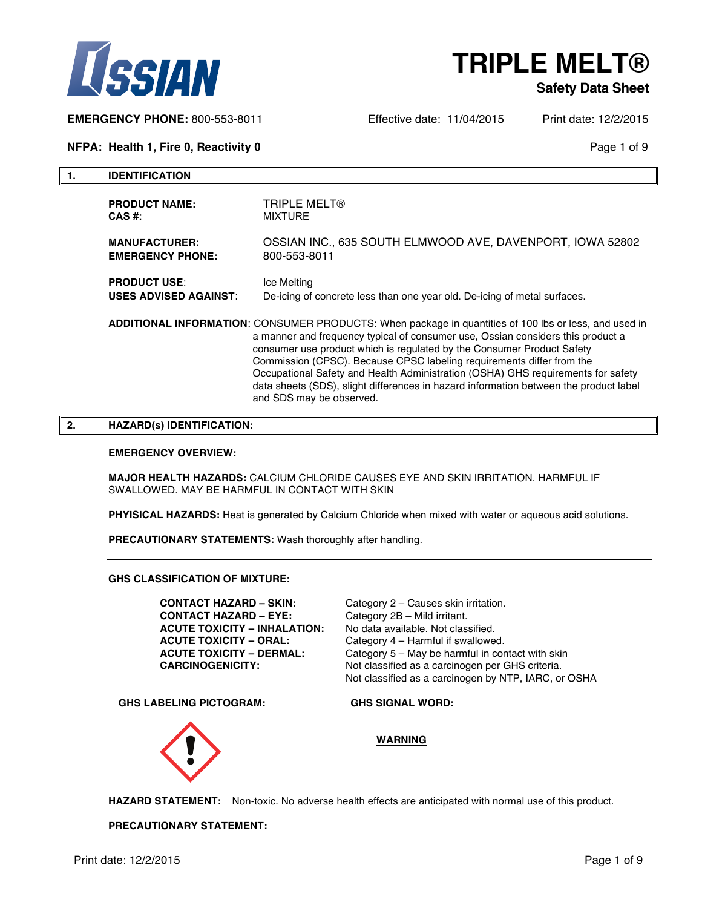

#### **Safety Data Sheet**

**EMERGENCY PHONE:** 800-553-8011 Effective date: 11/04/2015 Print date: 12/2/2015

**NFPA: Health 1, Fire 0, Reactivity 0 Page 1 of 9 Page 1 of 9 Page 1 of 9** 

**1. IDENTIFICATION**

| <b>PRODUCT NAME:</b>         | <b>TRIPLE MELT®</b>                                                                                                                                                                                                                                                                                                                                                                                                                                                                                                                                  |
|------------------------------|------------------------------------------------------------------------------------------------------------------------------------------------------------------------------------------------------------------------------------------------------------------------------------------------------------------------------------------------------------------------------------------------------------------------------------------------------------------------------------------------------------------------------------------------------|
| CAS #:                       | <b>MIXTURE</b>                                                                                                                                                                                                                                                                                                                                                                                                                                                                                                                                       |
| <b>MANUFACTURER:</b>         | OSSIAN INC., 635 SOUTH ELMWOOD AVE, DAVENPORT, IOWA 52802                                                                                                                                                                                                                                                                                                                                                                                                                                                                                            |
| <b>EMERGENCY PHONE:</b>      | 800-553-8011                                                                                                                                                                                                                                                                                                                                                                                                                                                                                                                                         |
| <b>PRODUCT USE:</b>          | Ice Melting                                                                                                                                                                                                                                                                                                                                                                                                                                                                                                                                          |
| <b>USES ADVISED AGAINST:</b> | De-icing of concrete less than one year old. De-icing of metal surfaces.                                                                                                                                                                                                                                                                                                                                                                                                                                                                             |
|                              | ADDITIONAL INFORMATION: CONSUMER PRODUCTS: When package in quantities of 100 lbs or less, and used in<br>a manner and frequency typical of consumer use, Ossian considers this product a<br>consumer use product which is regulated by the Consumer Product Safety<br>Commission (CPSC). Because CPSC labeling requirements differ from the<br>Occupational Safety and Health Administration (OSHA) GHS requirements for safety<br>data sheets (SDS), slight differences in hazard information between the product label<br>and SDS may be observed. |

#### **2. HAZARD(s) IDENTIFICATION:**

#### **EMERGENCY OVERVIEW:**

**MAJOR HEALTH HAZARDS:** CALCIUM CHLORIDE CAUSES EYE AND SKIN IRRITATION. HARMFUL IF SWALLOWED. MAY BE HARMFUL IN CONTACT WITH SKIN

**PHYISICAL HAZARDS:** Heat is generated by Calcium Chloride when mixed with water or aqueous acid solutions.

**PRECAUTIONARY STATEMENTS:** Wash thoroughly after handling.

**GHS CLASSIFICATION OF MIXTURE:**

**CONTACT HAZARD – SKIN:** Category 2 – Causes skin irritation. **CONTACT HAZARD – EYE:** Category 2B – Mild irritant. **ACUTE TOXICITY – INHALATION:** No data available. Not classified. **ACUTE TOXICITY – ORAL:** Category 4 – Harmful if swallowed.

**ACUTE TOXICITY – DERMAL:** Category 5 – May be harmful in contact with skin **CARCINOGENICITY:** Not classified as a carcinogen per GHS criteria. Not classified as a carcinogen by NTP, IARC, or OSHA

**GHS LABELING PICTOGRAM: GHS SIGNAL WORD:**



**WARNING**

**HAZARD STATEMENT:** Non-toxic. No adverse health effects are anticipated with normal use of this product.

**PRECAUTIONARY STATEMENT:**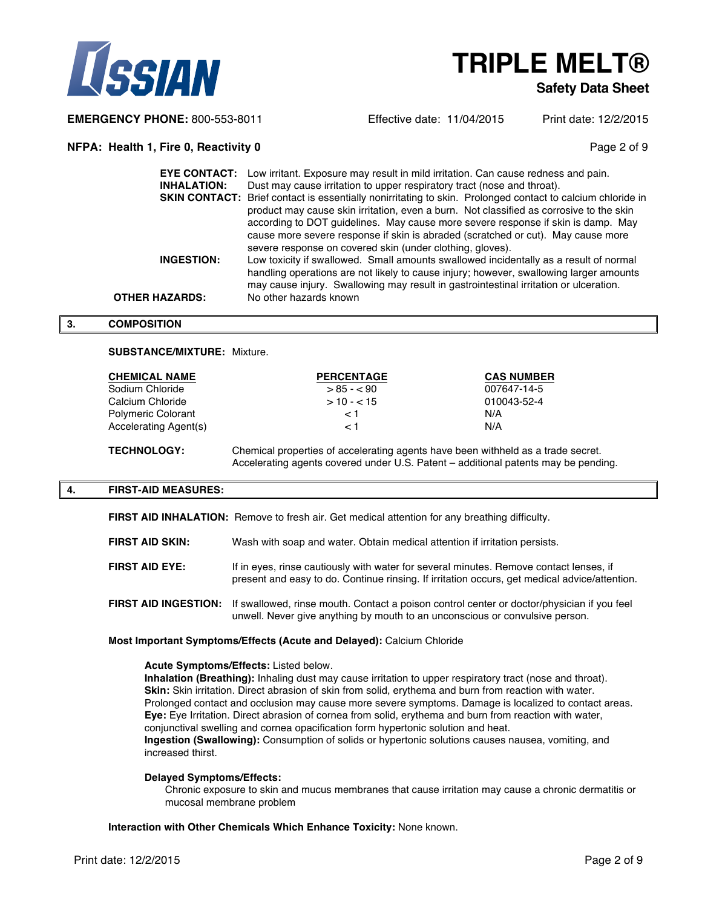



#### **Safety Data Sheet**

**EMERGENCY PHONE:** 800-553-8011 Effective date: 11/04/2015 Print date: 12/2/2015

#### **NFPA: Health 1, Fire 0, Reactivity 0 Page 2 of 9 Page 2 of 9 Page 2 of 9**

|                    | <b>EYE CONTACT:</b> Low irritant. Exposure may result in mild irritation. Can cause redness and pain.      |
|--------------------|------------------------------------------------------------------------------------------------------------|
| <b>INHALATION:</b> | Dust may cause irritation to upper respiratory tract (nose and throat).                                    |
|                    | SKIN CONTACT: Brief contact is essentially nonirritating to skin. Prolonged contact to calcium chloride in |
|                    | product may cause skin irritation, even a burn. Not classified as corrosive to the skin                    |
|                    | according to DOT quidelines. May cause more severe response if skin is damp. May                           |
|                    | cause more severe response if skin is abraded (scratched or cut). May cause more                           |
|                    | severe response on covered skin (under clothing, gloves).                                                  |
| INGESTION:         | Low toxicity if swallowed. Small amounts swallowed incidentally as a result of normal                      |
|                    | handling operations are not likely to cause injury; however, swallowing larger amounts                     |
|                    | may cause injury. Swallowing may result in gastrointestinal irritation or ulceration.                      |
| OTHER HAZARDS:     | No other hazards known                                                                                     |

#### **3. COMPOSITION**

#### **SUBSTANCE/MIXTURE:** Mixture.

| <b>CHEMICAL NAME</b>      | <b>PERCENTAGE</b> | <b>CAS NUMBER</b> |
|---------------------------|-------------------|-------------------|
| Sodium Chloride           | $> 85 - 90$       | 007647-14-5       |
| Calcium Chloride          | $>10 - 15$        | 010043-52-4       |
| <b>Polymeric Colorant</b> | < 1               | N/A               |
| Accelerating Agent(s)     | < 1               | N/A               |
|                           |                   |                   |

**TECHNOLOGY:** Chemical properties of accelerating agents have been withheld as a trade secret. Accelerating agents covered under U.S. Patent – additional patents may be pending.

#### **4. FIRST-AID MEASURES:**

**FIRST AID INHALATION:** Remove to fresh air. Get medical attention for any breathing difficulty.

| <b>FIRST AID SKIN:</b> |  | Wash with soap and water. Obtain medical attention if irritation persists. |  |
|------------------------|--|----------------------------------------------------------------------------|--|
|                        |  |                                                                            |  |

- **FIRST AID EYE:** If in eyes, rinse cautiously with water for several minutes. Remove contact lenses, if present and easy to do. Continue rinsing. If irritation occurs, get medical advice/attention.
- **FIRST AID INGESTION:** If swallowed, rinse mouth. Contact a poison control center or doctor/physician if you feel unwell. Never give anything by mouth to an unconscious or convulsive person.

#### **Most Important Symptoms/Effects (Acute and Delayed):** Calcium Chloride

#### **Acute Symptoms/Effects:** Listed below.

**Inhalation (Breathing):** Inhaling dust may cause irritation to upper respiratory tract (nose and throat). **Skin:** Skin irritation. Direct abrasion of skin from solid, erythema and burn from reaction with water. Prolonged contact and occlusion may cause more severe symptoms. Damage is localized to contact areas. **Eye:** Eye Irritation. Direct abrasion of cornea from solid, erythema and burn from reaction with water, conjunctival swelling and cornea opacification form hypertonic solution and heat. **Ingestion (Swallowing):** Consumption of solids or hypertonic solutions causes nausea, vomiting, and increased thirst.

#### **Delayed Symptoms/Effects:**

Chronic exposure to skin and mucus membranes that cause irritation may cause a chronic dermatitis or mucosal membrane problem

#### **Interaction with Other Chemicals Which Enhance Toxicity:** None known.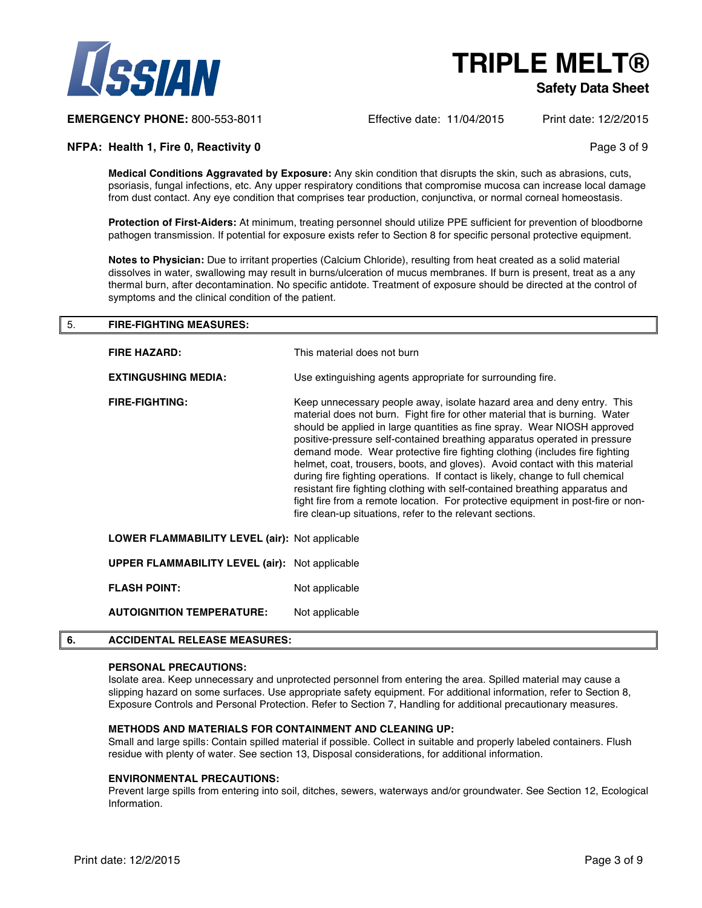

#### **Safety Data Sheet**

**EMERGENCY PHONE:** 800-553-8011 Effective date: 11/04/2015 Print date: 12/2/2015

#### **NFPA: Health 1, Fire 0, Reactivity 0 Page 3 of 9** Page 3 of 9

**Medical Conditions Aggravated by Exposure:** Any skin condition that disrupts the skin, such as abrasions, cuts, psoriasis, fungal infections, etc. Any upper respiratory conditions that compromise mucosa can increase local damage from dust contact. Any eye condition that comprises tear production, conjunctiva, or normal corneal homeostasis.

**Protection of First-Aiders:** At minimum, treating personnel should utilize PPE sufficient for prevention of bloodborne pathogen transmission. If potential for exposure exists refer to Section 8 for specific personal protective equipment.

**Notes to Physician:** Due to irritant properties (Calcium Chloride), resulting from heat created as a solid material dissolves in water, swallowing may result in burns/ulceration of mucus membranes. If burn is present, treat as a any thermal burn, after decontamination. No specific antidote. Treatment of exposure should be directed at the control of symptoms and the clinical condition of the patient.

### 5. **FIRE-FIGHTING MEASURES: FIRE HAZARD:** This material does not burn **EXTINGUSHING MEDIA:** Use extinguishing agents appropriate for surrounding fire. **FIRE-FIGHTING:** Keep unnecessary people away, isolate hazard area and deny entry. This material does not burn. Fight fire for other material that is burning. Water should be applied in large quantities as fine spray. Wear NIOSH approved positive-pressure self-contained breathing apparatus operated in pressure demand mode. Wear protective fire fighting clothing (includes fire fighting helmet, coat, trousers, boots, and gloves). Avoid contact with this material during fire fighting operations. If contact is likely, change to full chemical resistant fire fighting clothing with self-contained breathing apparatus and fight fire from a remote location. For protective equipment in post-fire or nonfire clean-up situations, refer to the relevant sections. **LOWER FLAMMABILITY LEVEL (air):** Not applicable **UPPER FLAMMABILITY LEVEL (air):** Not applicable **FLASH POINT:** Not applicable **AUTOIGNITION TEMPERATURE:** Not applicable

#### **6. ACCIDENTAL RELEASE MEASURES:**

#### **PERSONAL PRECAUTIONS:**

Isolate area. Keep unnecessary and unprotected personnel from entering the area. Spilled material may cause a slipping hazard on some surfaces. Use appropriate safety equipment. For additional information, refer to Section 8, Exposure Controls and Personal Protection. Refer to Section 7, Handling for additional precautionary measures.

#### **METHODS AND MATERIALS FOR CONTAINMENT AND CLEANING UP:**

Small and large spills: Contain spilled material if possible. Collect in suitable and properly labeled containers. Flush residue with plenty of water. See section 13, Disposal considerations, for additional information.

#### **ENVIRONMENTAL PRECAUTIONS:**

Prevent large spills from entering into soil, ditches, sewers, waterways and/or groundwater. See Section 12, Ecological Information.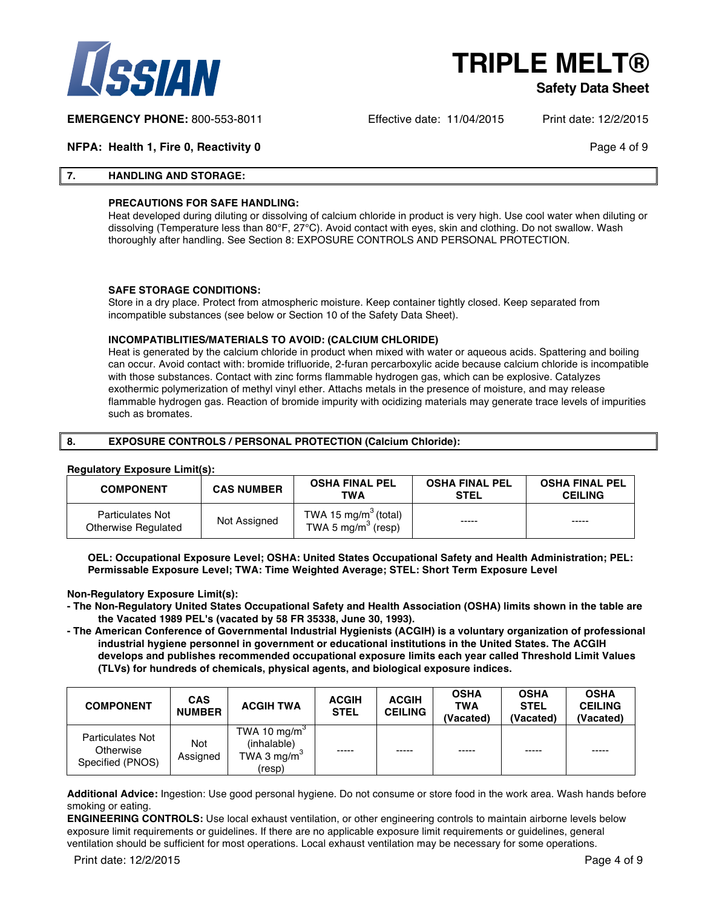

#### **Safety Data Sheet**

**EMERGENCY PHONE:** 800-553-8011 Effective date: 11/04/2015 Print date: 12/2/2015

**NFPA: Health 1, Fire 0, Reactivity 0 Page 4 of 9 Page 4 of 9** 

#### **7. HANDLING AND STORAGE:**

#### **PRECAUTIONS FOR SAFE HANDLING:**

Heat developed during diluting or dissolving of calcium chloride in product is very high. Use cool water when diluting or dissolving (Temperature less than 80°F, 27°C). Avoid contact with eyes, skin and clothing. Do not swallow. Wash thoroughly after handling. See Section 8: EXPOSURE CONTROLS AND PERSONAL PROTECTION.

#### **SAFE STORAGE CONDITIONS:**

Store in a dry place. Protect from atmospheric moisture. Keep container tightly closed. Keep separated from incompatible substances (see below or Section 10 of the Safety Data Sheet).

#### **INCOMPATIBLITIES/MATERIALS TO AVOID: (CALCIUM CHLORIDE)**

Heat is generated by the calcium chloride in product when mixed with water or aqueous acids. Spattering and boiling can occur. Avoid contact with: bromide trifluoride, 2-furan percarboxylic acide because calcium chloride is incompatible with those substances. Contact with zinc forms flammable hydrogen gas, which can be explosive. Catalyzes exothermic polymerization of methyl vinyl ether. Attachs metals in the presence of moisture, and may release flammable hydrogen gas. Reaction of bromide impurity with ocidizing materials may generate trace levels of impurities such as bromates.

#### **8. EXPOSURE CONTROLS / PERSONAL PROTECTION (Calcium Chloride):**

#### **Regulatory Exposure Limit(s):**

| <b>COMPONENT</b>                               | <b>CAS NUMBER</b> | <b>OSHA FINAL PEL</b><br>TWA                                       | <b>OSHA FINAL PEL</b><br><b>STEL</b> | <b>OSHA FINAL PEL</b><br><b>CEILING</b> |
|------------------------------------------------|-------------------|--------------------------------------------------------------------|--------------------------------------|-----------------------------------------|
| <b>Particulates Not</b><br>Otherwise Regulated | Not Assigned      | TWA 15 mg/m <sup>3</sup> (total)<br>TWA 5 mg/m <sup>3</sup> (resp) | -----                                | -----                                   |

**OEL: Occupational Exposure Level; OSHA: United States Occupational Safety and Health Administration; PEL: Permissable Exposure Level; TWA: Time Weighted Average; STEL: Short Term Exposure Level**

#### **Non-Regulatory Exposure Limit(s):**

- **- The Non-Regulatory United States Occupational Safety and Health Association (OSHA) limits shown in the table are the Vacated 1989 PEL's (vacated by 58 FR 35338, June 30, 1993).**
- **- The American Conference of Governmental Industrial Hygienists (ACGIH) is a voluntary organization of professional industrial hygiene personnel in government or educational institutions in the United States. The ACGIH develops and publishes recommended occupational exposure limits each year called Threshold Limit Values (TLVs) for hundreds of chemicals, physical agents, and biological exposure indices.**

| <b>COMPONENT</b>                                         | <b>CAS</b><br><b>NUMBER</b> | <b>ACGIH TWA</b>                                                   | <b>ACGIH</b><br><b>STEL</b> | <b>ACGIH</b><br><b>CEILING</b> | <b>OSHA</b><br><b>TWA</b><br>(Vacated) | <b>OSHA</b><br><b>STEL</b><br>(Vacated) | <b>OSHA</b><br><b>CEILING</b><br>(Vacated) |
|----------------------------------------------------------|-----------------------------|--------------------------------------------------------------------|-----------------------------|--------------------------------|----------------------------------------|-----------------------------------------|--------------------------------------------|
| <b>Particulates Not</b><br>Otherwise<br>Specified (PNOS) | Not<br>Assigned             | TWA 10 mg/m $3$<br>(inhalable)<br>TWA 3 mg/m <sup>3</sup><br>(resp | -----                       | $- - - - -$                    | -----                                  | -----                                   | -----                                      |

**Additional Advice:** Ingestion: Use good personal hygiene. Do not consume or store food in the work area. Wash hands before smoking or eating.

**ENGINEERING CONTROLS:** Use local exhaust ventilation, or other engineering controls to maintain airborne levels below exposure limit requirements or guidelines. If there are no applicable exposure limit requirements or guidelines, general ventilation should be sufficient for most operations. Local exhaust ventilation may be necessary for some operations.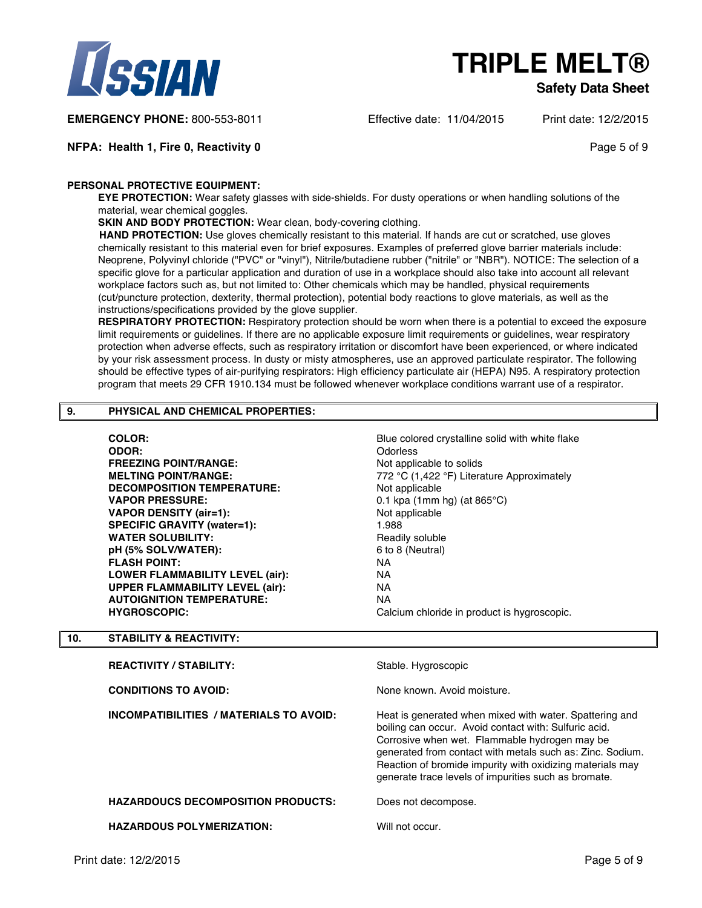

#### **Safety Data Sheet**

**EMERGENCY PHONE:** 800-553-8011 Effective date: 11/04/2015 Print date: 12/2/2015

**NFPA: Health 1, Fire 0, Reactivity 0 Page 5 of 9 Page 5 of 9 Page 5 of 9** 

#### **PERSONAL PROTECTIVE EQUIPMENT:**

**EYE PROTECTION:** Wear safety glasses with side-shields. For dusty operations or when handling solutions of the material, wear chemical goggles.

**SKIN AND BODY PROTECTION:** Wear clean, body-covering clothing.

**HAND PROTECTION:** Use gloves chemically resistant to this material. If hands are cut or scratched, use gloves chemically resistant to this material even for brief exposures. Examples of preferred glove barrier materials include: Neoprene, Polyvinyl chloride ("PVC" or "vinyl"), Nitrile/butadiene rubber ("nitrile" or "NBR"). NOTICE: The selection of a specific glove for a particular application and duration of use in a workplace should also take into account all relevant workplace factors such as, but not limited to: Other chemicals which may be handled, physical requirements (cut/puncture protection, dexterity, thermal protection), potential body reactions to glove materials, as well as the instructions/specifications provided by the glove supplier.

**RESPIRATORY PROTECTION:** Respiratory protection should be worn when there is a potential to exceed the exposure limit requirements or guidelines. If there are no applicable exposure limit requirements or guidelines, wear respiratory protection when adverse effects, such as respiratory irritation or discomfort have been experienced, or where indicated by your risk assessment process. In dusty or misty atmospheres, use an approved particulate respirator. The following should be effective types of air-purifying respirators: High efficiency particulate air (HEPA) N95. A respiratory protection program that meets 29 CFR 1910.134 must be followed whenever workplace conditions warrant use of a respirator.

#### **9. PHYSICAL AND CHEMICAL PROPERTIES:**

**COLOR:** COLOR: **Blue colored crystalline solid with white flake ODOR:** Odorless **FREEZING POINT/RANGE:** Not applicable to solids **DECOMPOSITION TEMPERATURE:** Not applicable **VAPOR PRESSURE:** 0.1 kpa (1mm hg) (at 865°C) **VAPOR DENSITY (air=1):** Not applicable SPECIFIC GRAVITY (water=1): 1.988 **WATER SOLUBILITY:** Readily soluble **pH (5% SOLV/WATER):** 6 to 8 (Neutral) **FLASH POINT:** NA **LOWER FLAMMABILITY LEVEL (air):** NA **UPPER FLAMMABILITY LEVEL (air):** NA **AUTOIGNITION TEMPERATURE:** NA<br> **HYGROSCOPIC:** Cal

**MELTING POINT/RANGE:** 772 °C (1,422 °F) Literature Approximately Calcium chloride in product is hygroscopic.

#### **10. STABILITY & REACTIVITY:**

| <b>REACTIVITY / STABILITY:</b>            | Stable. Hygroscopic                                                                                                                                                                                                                                                                                                                                 |
|-------------------------------------------|-----------------------------------------------------------------------------------------------------------------------------------------------------------------------------------------------------------------------------------------------------------------------------------------------------------------------------------------------------|
| <b>CONDITIONS TO AVOID:</b>               | None known. Avoid moisture.                                                                                                                                                                                                                                                                                                                         |
| INCOMPATIBILITIES / MATERIALS TO AVOID:   | Heat is generated when mixed with water. Spattering and<br>boiling can occur. Avoid contact with: Sulfuric acid.<br>Corrosive when wet. Flammable hydrogen may be<br>generated from contact with metals such as: Zinc. Sodium.<br>Reaction of bromide impurity with oxidizing materials may<br>generate trace levels of impurities such as bromate. |
| <b>HAZARDOUCS DECOMPOSITION PRODUCTS:</b> | Does not decompose.                                                                                                                                                                                                                                                                                                                                 |
| <b>HAZARDOUS POLYMERIZATION:</b>          | Will not occur.                                                                                                                                                                                                                                                                                                                                     |
| Print date: 12/2/2015                     | Page 5 of 9                                                                                                                                                                                                                                                                                                                                         |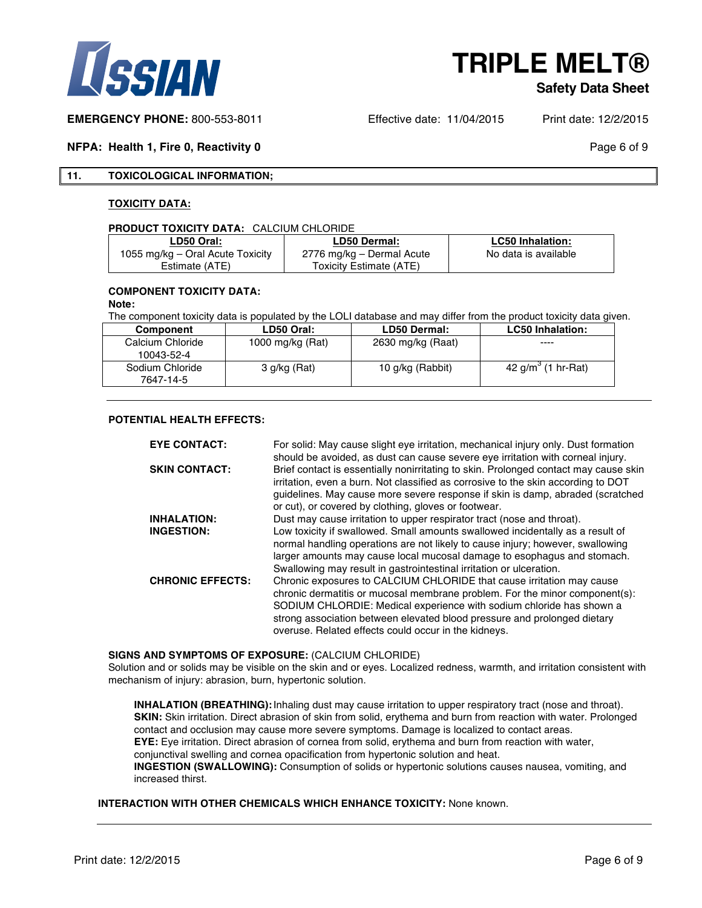

#### **Safety Data Sheet**

**EMERGENCY PHONE:** 800-553-8011 Effective date: 11/04/2015 Print date: 12/2/2015

#### **NFPA: Health 1, Fire 0, Reactivity 0 Page 6 of 9 Page 6 of 9 Page 6 of 9**

#### **11. TOXICOLOGICAL INFORMATION;**

#### **TOXICITY DATA:**

#### **PRODUCT TOXICITY DATA:** CALCIUM CHLORIDE

| <b>LD50 Oral:</b>                | <b>LD50 Dermal:</b>       | <b>LC50 Inhalation:</b> |
|----------------------------------|---------------------------|-------------------------|
| 1055 mg/kg – Oral Acute Toxicity | 2776 mg/kg – Dermal Acute | No data is available    |
| Estimate (ATE)                   | Toxicity Estimate (ATE)   |                         |

#### **COMPONENT TOXICITY DATA:**

#### **Note:**

The component toxicity data is populated by the LOLI database and may differ from the product toxicity data given.

| Component                    | LD50 Oral:       | <b>LD50 Dermal:</b> | <b>LC50 Inhalation:</b> |
|------------------------------|------------------|---------------------|-------------------------|
| Calcium Chloride             | 1000 mg/kg (Rat) | 2630 mg/kg (Raat)   | ----                    |
| 10043-52-4                   |                  |                     |                         |
| Sodium Chloride<br>7647-14-5 | 3 g/kg (Rat)     | 10 g/kg (Rabbit)    | 42 g/m (1 hr-Rat)       |

#### **POTENTIAL HEALTH EFFECTS:**

| <b>EYE CONTACT:</b>     | For solid: May cause slight eye irritation, mechanical injury only. Dust formation<br>should be avoided, as dust can cause severe eye irritation with corneal injury.                                                                                                                                                                                            |
|-------------------------|------------------------------------------------------------------------------------------------------------------------------------------------------------------------------------------------------------------------------------------------------------------------------------------------------------------------------------------------------------------|
| <b>SKIN CONTACT:</b>    | Brief contact is essentially nonirritating to skin. Prolonged contact may cause skin<br>irritation, even a burn. Not classified as corrosive to the skin according to DOT<br>quidelines. May cause more severe response if skin is damp, abraded (scratched<br>or cut), or covered by clothing, gloves or footwear.                                              |
| <b>INHALATION:</b>      | Dust may cause irritation to upper respirator tract (nose and throat).                                                                                                                                                                                                                                                                                           |
| <b>INGESTION:</b>       | Low toxicity if swallowed. Small amounts swallowed incidentally as a result of<br>normal handling operations are not likely to cause injury; however, swallowing<br>larger amounts may cause local mucosal damage to esophagus and stomach.<br>Swallowing may result in gastrointestinal irritation or ulceration.                                               |
| <b>CHRONIC EFFECTS:</b> | Chronic exposures to CALCIUM CHLORIDE that cause irritation may cause<br>chronic dermatitis or mucosal membrane problem. For the minor component(s):<br>SODIUM CHLORDIE: Medical experience with sodium chloride has shown a<br>strong association between elevated blood pressure and prolonged dietary<br>overuse. Related effects could occur in the kidneys. |

#### **SIGNS AND SYMPTOMS OF EXPOSURE:** (CALCIUM CHLORIDE)

Solution and or solids may be visible on the skin and or eyes. Localized redness, warmth, and irritation consistent with mechanism of injury: abrasion, burn, hypertonic solution.

**INHALATION (BREATHING):**Inhaling dust may cause irritation to upper respiratory tract (nose and throat). **SKIN:** Skin irritation. Direct abrasion of skin from solid, erythema and burn from reaction with water. Prolonged contact and occlusion may cause more severe symptoms. Damage is localized to contact areas. **EYE:** Eye irritation. Direct abrasion of cornea from solid, erythema and burn from reaction with water, conjunctival swelling and cornea opacification from hypertonic solution and heat. **INGESTION (SWALLOWING):** Consumption of solids or hypertonic solutions causes nausea, vomiting, and increased thirst.

#### **INTERACTION WITH OTHER CHEMICALS WHICH ENHANCE TOXICITY:** None known.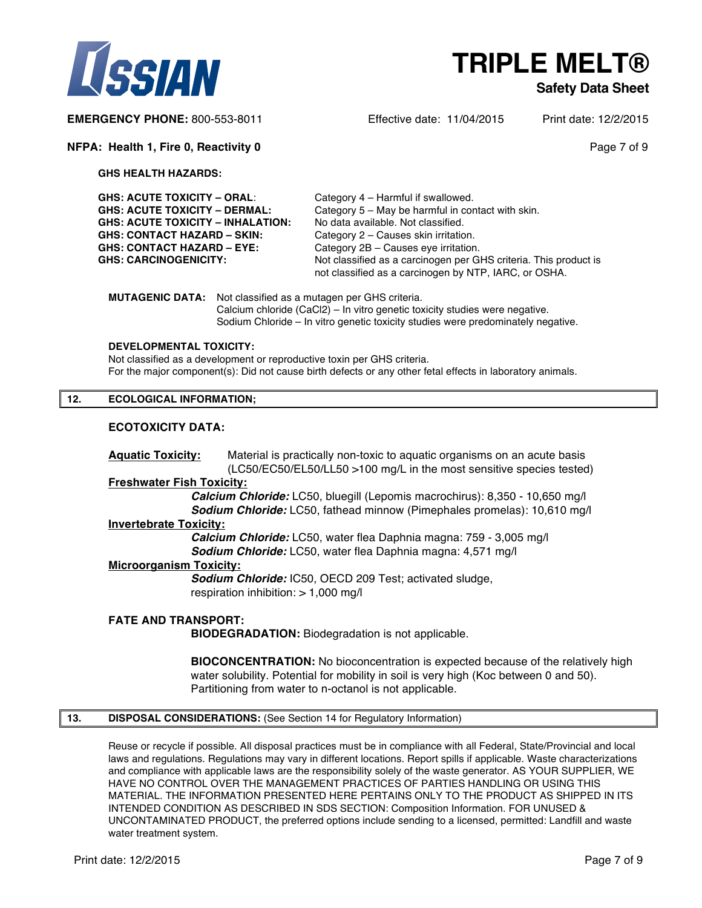



#### **Safety Data Sheet**

**EMERGENCY PHONE:** 800-553-8011 Effective date: 11/04/2015 Print date: 12/2/2015

#### **NFPA: Health 1, Fire 0, Reactivity 0 Page 7 of 9 Page 7 of 9 Page 7 of 9**

**GHS HEALTH HAZARDS:**

| GHS: ACUTE TOXICITY – ORAL:       | Category 4 – Harmful if swallowed.                                                                                        |
|-----------------------------------|---------------------------------------------------------------------------------------------------------------------------|
| GHS: ACUTE TOXICITY – DERMAL:     | Category 5 – May be harmful in contact with skin.                                                                         |
| GHS: ACUTE TOXICITY – INHALATION: | No data available. Not classified.                                                                                        |
| GHS: CONTACT HAZARD – SKIN:       | Category 2 – Causes skin irritation.                                                                                      |
| GHS: CONTACT HAZARD – EYE:        | Category 2B - Causes eye irritation.                                                                                      |
| <b>GHS: CARCINOGENICITY:</b>      | Not classified as a carcinogen per GHS criteria. This product is<br>not classified as a carcinogen by NTP, IARC, or OSHA. |
|                                   |                                                                                                                           |

**MUTAGENIC DATA:** Not classified as a mutagen per GHS criteria. Calcium chloride (CaCl2) – In vitro genetic toxicity studies were negative. Sodium Chloride – In vitro genetic toxicity studies were predominately negative.

#### **DEVELOPMENTAL TOXICITY:**

Not classified as a development or reproductive toxin per GHS criteria. For the major component(s): Did not cause birth defects or any other fetal effects in laboratory animals.

#### **12. ECOLOGICAL INFORMATION;**

#### **ECOTOXICITY DATA:**

**Aquatic Toxicity:** Material is practically non-toxic to aquatic organisms on an acute basis (LC50/EC50/EL50/LL50 >100 mg/L in the most sensitive species tested)

#### **Freshwater Fish Toxicity:**

*Calcium Chloride:* LC50, bluegill (Lepomis macrochirus): 8,350 - 10,650 mg/l *Sodium Chloride:* LC50, fathead minnow (Pimephales promelas): 10,610 mg/l

#### **Invertebrate Toxicity:**

*Calcium Chloride:* LC50, water flea Daphnia magna: 759 - 3,005 mg/l *Sodium Chloride:* LC50, water flea Daphnia magna: 4,571 mg/l

#### **Microorganism Toxicity:**

*Sodium Chloride:* IC50, OECD 209 Test; activated sludge, respiration inhibition:  $> 1,000$  mg/l

#### **FATE AND TRANSPORT:**

**BIODEGRADATION:** Biodegradation is not applicable.

**BIOCONCENTRATION:** No bioconcentration is expected because of the relatively high water solubility. Potential for mobility in soil is very high (Koc between 0 and 50). Partitioning from water to n-octanol is not applicable.

#### **13. DISPOSAL CONSIDERATIONS:** (See Section 14 for Regulatory Information)

Reuse or recycle if possible. All disposal practices must be in compliance with all Federal, State/Provincial and local laws and regulations. Regulations may vary in different locations. Report spills if applicable. Waste characterizations and compliance with applicable laws are the responsibility solely of the waste generator. AS YOUR SUPPLIER, WE HAVE NO CONTROL OVER THE MANAGEMENT PRACTICES OF PARTIES HANDLING OR USING THIS MATERIAL. THE INFORMATION PRESENTED HERE PERTAINS ONLY TO THE PRODUCT AS SHIPPED IN ITS INTENDED CONDITION AS DESCRIBED IN SDS SECTION: Composition Information. FOR UNUSED & UNCONTAMINATED PRODUCT, the preferred options include sending to a licensed, permitted: Landfill and waste water treatment system.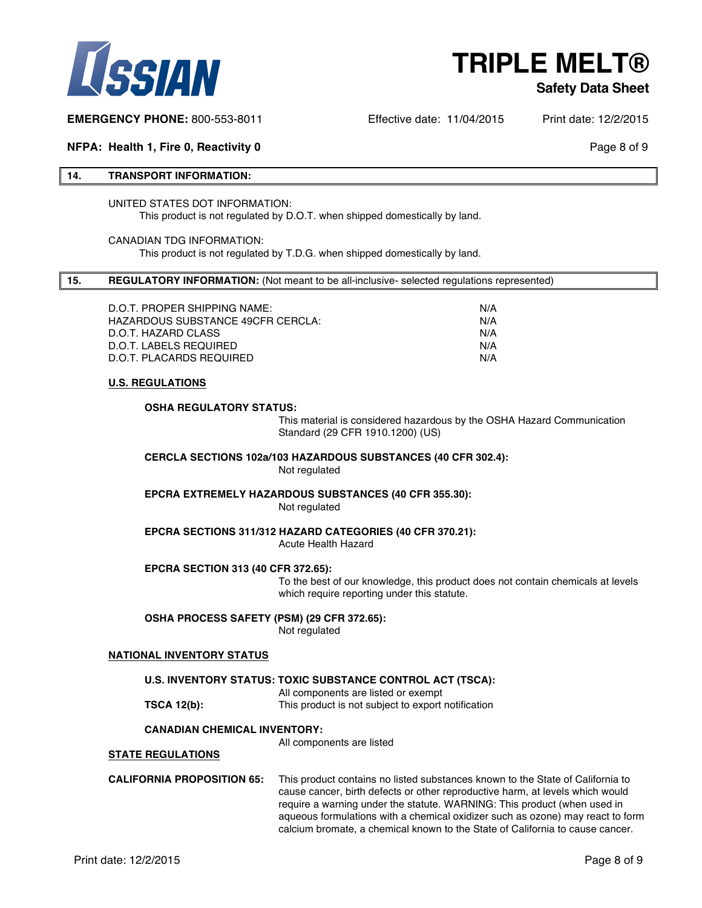

#### **Safety Data Sheet**

**EMERGENCY PHONE:** 800-553-8011 Effective date: 11/04/2015 Print date: 12/2/2015

#### **NFPA: Health 1, Fire 0, Reactivity 0 Page 8 of 9 Page 8 of 9 Page 8 of 9**

#### **14. TRANSPORT INFORMATION:**

#### UNITED STATES DOT INFORMATION: This product is not regulated by D.O.T. when shipped domestically by land.

#### CANADIAN TDG INFORMATION: This product is not regulated by T.D.G. when shipped domestically by land.

#### **15. REGULATORY INFORMATION:** (Not meant to be all-inclusive- selected regulations represented)

| N/A |
|-----|
| N/A |
| N/A |
| N/A |
| N/A |
|     |

#### **U.S. REGULATIONS**

#### **OSHA REGULATORY STATUS:**

This material is considered hazardous by the OSHA Hazard Communication Standard (29 CFR 1910.1200) (US)

#### **CERCLA SECTIONS 102a/103 HAZARDOUS SUBSTANCES (40 CFR 302.4):** Not regulated

**EPCRA EXTREMELY HAZARDOUS SUBSTANCES (40 CFR 355.30):** Not regulated

**EPCRA SECTIONS 311/312 HAZARD CATEGORIES (40 CFR 370.21):** Acute Health Hazard

#### **EPCRA SECTION 313 (40 CFR 372.65):**

To the best of our knowledge, this product does not contain chemicals at levels which require reporting under this statute.

#### **OSHA PROCESS SAFETY (PSM) (29 CFR 372.65):**

Not regulated

#### **NATIONAL INVENTORY STATUS**

**U.S. INVENTORY STATUS: TOXIC SUBSTANCE CONTROL ACT (TSCA):**

All components are listed or exempt **TSCA 12(b):** This product is not subject to export notification

#### **CANADIAN CHEMICAL INVENTORY:**

All components are listed

#### **STATE REGULATIONS**

**CALIFORNIA PROPOSITION 65:** This product contains no listed substances known to the State of California to cause cancer, birth defects or other reproductive harm, at levels which would require a warning under the statute. WARNING: This product (when used in aqueous formulations with a chemical oxidizer such as ozone) may react to form calcium bromate, a chemical known to the State of California to cause cancer.